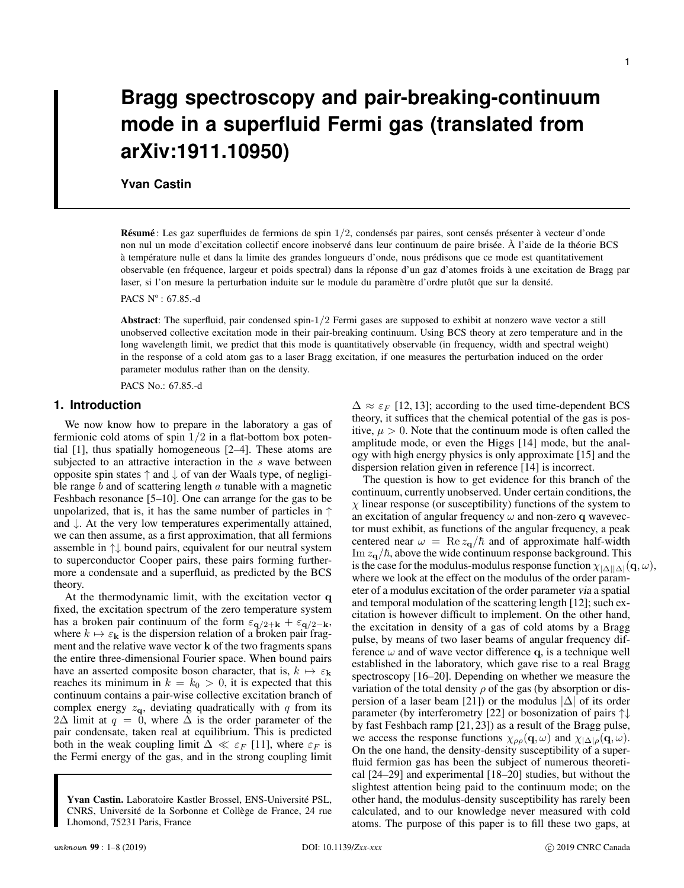# **Bragg spectroscopy and pair-breaking-continuum mode in a superfluid Fermi gas (translated from arXiv:1911.10950)**

# **Yvan Castin**

Résumé : Les gaz superfluides de fermions de spin  $1/2$ , condensés par paires, sont censés présenter à vecteur d'onde non nul un mode d'excitation collectif encore inobservé dans leur continuum de paire brisée. À l'aide de la théorie BCS à température nulle et dans la limite des grandes longueurs d'onde, nous prédisons que ce mode est quantitativement observable (en fréquence, largeur et poids spectral) dans la réponse d'un gaz d'atomes froids à une excitation de Bragg par laser, si l'on mesure la perturbation induite sur le module du paramètre d'ordre plutôt que sur la densité.

PACS  $N^{\circ}$ : 67.85.-d

Abstract: The superfluid, pair condensed spin-1/2 Fermi gases are supposed to exhibit at nonzero wave vector a still unobserved collective excitation mode in their pair-breaking continuum. Using BCS theory at zero temperature and in the long wavelength limit, we predict that this mode is quantitatively observable (in frequency, width and spectral weight) in the response of a cold atom gas to a laser Bragg excitation, if one measures the perturbation induced on the order parameter modulus rather than on the density.

PACS No.: 67.85.-d

## **1. Introduction**

We now know how to prepare in the laboratory a gas of fermionic cold atoms of spin  $1/2$  in a flat-bottom box potential [1], thus spatially homogeneous [2–4]. These atoms are subjected to an attractive interaction in the s wave between opposite spin states ↑ and ↓ of van der Waals type, of negligible range  $b$  and of scattering length  $a$  tunable with a magnetic Feshbach resonance [5–10]. One can arrange for the gas to be unpolarized, that is, it has the same number of particles in  $\uparrow$ and ↓. At the very low temperatures experimentally attained, we can then assume, as a first approximation, that all fermions assemble in ↑↓ bound pairs, equivalent for our neutral system to superconductor Cooper pairs, these pairs forming furthermore a condensate and a superfluid, as predicted by the BCS theory.

At the thermodynamic limit, with the excitation vector q fixed, the excitation spectrum of the zero temperature system has a broken pair continuum of the form  $\varepsilon_{q/2+k} + \varepsilon_{q/2-k}$ , where  $k \mapsto \varepsilon_{\mathbf{k}}$  is the dispersion relation of a broken pair fragment and the relative wave vector k of the two fragments spans the entire three-dimensional Fourier space. When bound pairs have an asserted composite boson character, that is,  $k \mapsto \varepsilon_{\mathbf{k}}$ reaches its minimum in  $k = k_0 > 0$ , it is expected that this continuum contains a pair-wise collective excitation branch of complex energy  $z_{q}$ , deviating quadratically with q from its  $2\Delta$  limit at  $q = 0$ , where  $\Delta$  is the order parameter of the pair condensate, taken real at equilibrium. This is predicted both in the weak coupling limit  $\Delta \ll \varepsilon_F$  [11], where  $\varepsilon_F$  is the Fermi energy of the gas, and in the strong coupling limit  $\Delta \approx \varepsilon_F$  [12, 13]; according to the used time-dependent BCS theory, it suffices that the chemical potential of the gas is positive,  $\mu > 0$ . Note that the continuum mode is often called the amplitude mode, or even the Higgs [14] mode, but the analogy with high energy physics is only approximate [15] and the dispersion relation given in reference [14] is incorrect.

The question is how to get evidence for this branch of the continuum, currently unobserved. Under certain conditions, the  $\chi$  linear response (or susceptibility) functions of the system to an excitation of angular frequency  $\omega$  and non-zero q wavevector must exhibit, as functions of the angular frequency, a peak centered near  $\omega = \text{Re} z_{q}/\hbar$  and of approximate half-width Im  $z_{\alpha}/\hbar$ , above the wide continuum response background. This is the case for the modulus-modulus response function  $\chi_{|\Delta||\Delta|}(\mathbf{q}, \omega)$ , where we look at the effect on the modulus of the order parameter of a modulus excitation of the order parameter via a spatial and temporal modulation of the scattering length [12]; such excitation is however difficult to implement. On the other hand, the excitation in density of a gas of cold atoms by a Bragg pulse, by means of two laser beams of angular frequency difference  $\omega$  and of wave vector difference q, is a technique well established in the laboratory, which gave rise to a real Bragg spectroscopy [16–20]. Depending on whether we measure the variation of the total density  $\rho$  of the gas (by absorption or dispersion of a laser beam [21]) or the modulus  $|\Delta|$  of its order parameter (by interferometry [22] or bosonization of pairs ↑↓ by fast Feshbach ramp [21, 23]) as a result of the Bragg pulse, we access the response functions  $\chi_{\rho\rho}(\mathbf{q}, \omega)$  and  $\chi_{|\Delta|\rho}(\mathbf{q}, \omega)$ . On the one hand, the density-density susceptibility of a superfluid fermion gas has been the subject of numerous theoretical [24–29] and experimental [18–20] studies, but without the slightest attention being paid to the continuum mode; on the other hand, the modulus-density susceptibility has rarely been calculated, and to our knowledge never measured with cold atoms. The purpose of this paper is to fill these two gaps, at

Yvan Castin. Laboratoire Kastler Brossel, ENS-Université PSL, CNRS, Université de la Sorbonne et Collège de France, 24 rue Lhomond, 75231 Paris, France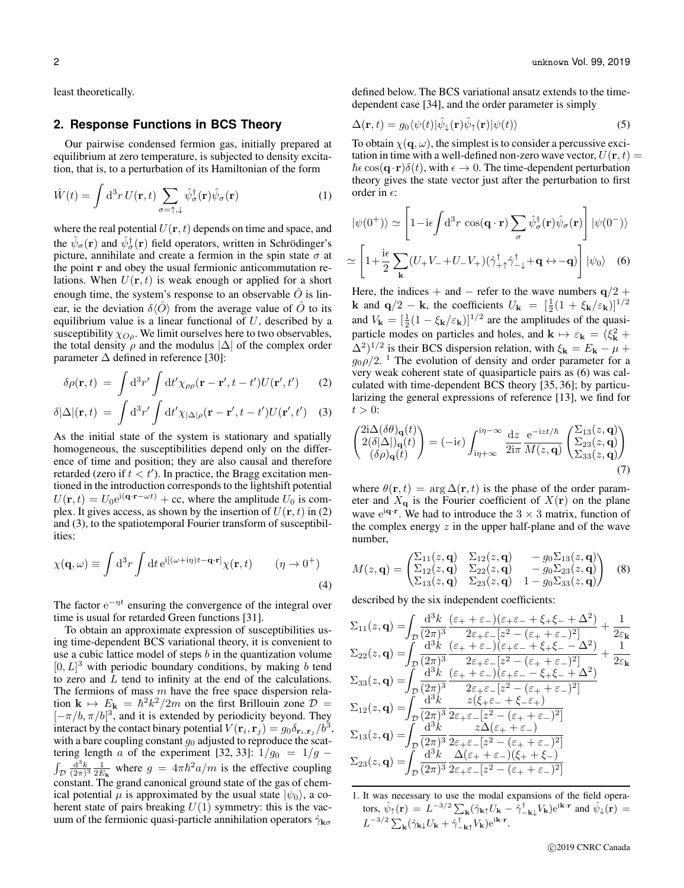least theoretically.

# **2. Response Functions in BCS Theory**

Our pairwise condensed fermion gas, initially prepared at equilibrium at zero temperature, is subjected to density excitation, that is, to a perturbation of its Hamiltonian of the form

$$
\hat{W}(t) = \int d^3r \, U(\mathbf{r}, t) \sum_{\sigma = \uparrow, \downarrow} \hat{\psi}_{\sigma}^{\dagger}(\mathbf{r}) \hat{\psi}_{\sigma}(\mathbf{r}) \tag{1}
$$

where the real potential  $U(\mathbf{r}, t)$  depends on time and space, and the  $\hat{\psi}_{\sigma}(\mathbf{r})$  and  $\hat{\psi}_{\sigma}^{\dagger}(\mathbf{r})$  field operators, written in Schrödinger's picture, annihilate and create a fermion in the spin state  $\sigma$  at the point r and obey the usual fermionic anticommutation relations. When  $U(\mathbf{r}, t)$  is weak enough or applied for a short enough time, the system's response to an observable  $\hat{O}$  is linear, ie the deviation  $\delta\langle\hat{O}\rangle$  from the average value of  $\hat{O}$  to its equilibrium value is a linear functional of  $U$ , described by a susceptibility  $\chi_{O\rho}$ . We limit ourselves here to two observables, the total density  $\rho$  and the modulus  $|\Delta|$  of the complex order parameter  $\Delta$  defined in reference [30]:

$$
\delta \rho(\mathbf{r},t) = \int d^3 r' \int dt' \chi_{\rho \rho}(\mathbf{r} - \mathbf{r}', t - t') U(\mathbf{r}', t') \qquad (2)
$$

$$
\delta|\Delta|(\mathbf{r},t) = \int \mathrm{d}^3 r' \int \mathrm{d}t' \chi_{|\Delta|\rho}(\mathbf{r}-\mathbf{r}',t-t')U(\mathbf{r}',t') \quad (3)
$$

As the initial state of the system is stationary and spatially homogeneous, the susceptibilities depend only on the difference of time and position; they are also causal and therefore retarded (zero if  $t < t'$ ). In practice, the Bragg excitation mentioned in the introduction corresponds to the lightshift potential  $U(\mathbf{r}, t) = U_0 e^{i(\mathbf{q} \cdot \mathbf{r} - \omega t)} + \text{cc}$ , where the amplitude  $U_0$  is complex. It gives access, as shown by the insertion of  $U(\mathbf{r}, t)$  in (2) and (3), to the spatiotemporal Fourier transform of susceptibilities:

$$
\chi(\mathbf{q},\omega) \equiv \int d^3r \int dt \,\mathrm{e}^{\mathrm{i}[(\omega+i\eta)t-\mathbf{q}\cdot\mathbf{r}]} \chi(\mathbf{r},t) \qquad (\eta \to 0^+) \tag{4}
$$

The factor  $e^{-\eta t}$  ensuring the convergence of the integral over time is usual for retarded Green functions [31].

To obtain an approximate expression of susceptibilities using time-dependent BCS variational theory, it is convenient to use a cubic lattice model of steps  $b$  in the quantization volume  $[0, L]^3$  with periodic boundary conditions, by making b tend to zero and  $\overline{L}$  tend to infinity at the end of the calculations. The fermions of mass  $m$  have the free space dispersion relation  $\mathbf{k} \mapsto E_{\mathbf{k}} = \hbar^2 k^2 / 2m$  on the first Brillouin zone  $\mathcal{D} =$  $[-\pi/b, \pi/b]^3$ , and it is extended by periodicity beyond. They interact by the contact binary potential  $V(\mathbf{r}_i, \mathbf{r}_j) = g_0 \delta_{\mathbf{r}_i, \mathbf{r}_j} / b^3$ , with a bare coupling constant  $g_0$  adjusted to reproduce the scattering length a of the experiment [32, 33]:  $1/g_0 = 1/g$  –  $\int_{\mathcal{D}} \frac{d^3k}{(2\pi)^3} \frac{1}{2E_k}$  where  $g = 4\pi \hbar^2 a/m$  is the effective coupling constant. The grand canonical ground state of the gas of chemical potential  $\mu$  is approximated by the usual state  $|\psi_0\rangle$ , a coherent state of pairs breaking  $U(1)$  symmetry: this is the vacuum of the fermionic quasi-particle annihilation operators  $\hat{\gamma}_{\mathbf{k}\sigma}$ 

defined below. The BCS variational ansatz extends to the timedependent case [34], and the order parameter is simply

$$
\Delta(\mathbf{r},t) = g_0 \langle \psi(t) | \hat{\psi}_+(\mathbf{r}) \hat{\psi}_\uparrow(\mathbf{r}) | \psi(t) \rangle \tag{5}
$$

To obtain  $\chi(\mathbf{q}, \omega)$ , the simplest is to consider a percussive excitation in time with a well-defined non-zero wave vector,  $U(\mathbf{r}, t) =$  $\hbar \epsilon \cos(\mathbf{q} \cdot \mathbf{r}) \delta(t)$ , with  $\epsilon \to 0$ . The time-dependent perturbation theory gives the state vector just after the perturbation to first order in  $\epsilon$ :

$$
|\psi(0^{+})\rangle \simeq \left[1 - i\epsilon \int d^{3}r \cos(\mathbf{q} \cdot \mathbf{r}) \sum_{\sigma} \hat{\psi}_{\sigma}^{\dagger}(\mathbf{r}) \hat{\psi}_{\sigma}(\mathbf{r})\right] |\psi(0^{-})\rangle
$$

$$
\simeq \left[1 + \frac{i\epsilon}{2} \sum_{\mathbf{k}} (U_{+}V_{-} + U_{-}V_{+}) (\hat{\gamma}_{+}^{\dagger} \hat{\gamma}_{-+}^{\dagger} + \mathbf{q} \leftrightarrow -\mathbf{q})\right] |\psi_{0}\rangle \quad (6)
$$

Here, the indices + and – refer to the wave numbers  $q/2$  + **k** and  $\mathbf{q}/2 - \mathbf{k}$ , the coefficients  $U_{\mathbf{k}} = \left[\frac{1}{2}(1 + \xi_{\mathbf{k}}/\varepsilon_{\mathbf{k}})\right]^{1/2}$ and  $V_{\mathbf{k}} = [\frac{1}{2}(1 - \xi_{\mathbf{k}}/\varepsilon_{\mathbf{k}})]^{1/2}$  are the amplitudes of the quasiparticle modes on particles and holes, and  $\mathbf{k} \mapsto \varepsilon_{\mathbf{k}} = (\xi_{\mathbf{k}}^2 + \xi_{\mathbf{k}}^2)$  $(\Delta^2)^{1/2}$  is their BCS dispersion relation, with  $\xi_{\mathbf{k}} = E_{\mathbf{k}} - \mu + \epsilon$  $g_0 \rho/2$ . <sup>1</sup> The evolution of density and order parameter for a very weak coherent state of quasiparticle pairs as (6) was calculated with time-dependent BCS theory [35, 36]; by particularizing the general expressions of reference [13], we find for  $t > 0$ :

$$
\begin{pmatrix} 2i\Delta(\delta\theta)_{\mathbf{q}}(t) \\ 2(\delta|\Delta|)_{\mathbf{q}}(t) \\ (\delta\rho)_{\mathbf{q}}(t) \end{pmatrix} = (-i\epsilon) \int_{i\eta+\infty}^{i\eta-\infty} \frac{dz}{2i\pi} \frac{e^{-izt/\hbar}}{M(z,\mathbf{q})} \begin{pmatrix} \Sigma_{13}(z,\mathbf{q}) \\ \Sigma_{23}(z,\mathbf{q}) \\ \Sigma_{33}(z,\mathbf{q}) \end{pmatrix}
$$
(7)

where  $\theta(\mathbf{r}, t) = \arg \Delta(\mathbf{r}, t)$  is the phase of the order parameter and  $X_{q}$  is the Fourier coefficient of  $X(\mathbf{r})$  on the plane wave  $e^{i\mathbf{q}\cdot\mathbf{r}}$ . We had to introduce the  $3 \times 3$  matrix, function of the complex energy  $z$  in the upper half-plane and of the wave number,

$$
M(z, \mathbf{q}) = \begin{pmatrix} \Sigma_{11}(z, \mathbf{q}) & \Sigma_{12}(z, \mathbf{q}) & -g_0 \Sigma_{13}(z, \mathbf{q}) \\ \Sigma_{12}(z, \mathbf{q}) & \Sigma_{22}(z, \mathbf{q}) & -g_0 \Sigma_{23}(z, \mathbf{q}) \\ \Sigma_{13}(z, \mathbf{q}) & \Sigma_{23}(z, \mathbf{q}) & 1 - g_0 \Sigma_{33}(z, \mathbf{q}) \end{pmatrix}
$$
(8)

described by the six independent coefficients:

$$
\Sigma_{11}(z, \mathbf{q}) = \int_{\mathcal{D}} \frac{d^3 k}{(2\pi)^3} \frac{(\varepsilon_+ + \varepsilon_-)(\varepsilon_+ \varepsilon_- + \xi_+ \xi_- + \Delta^2)}{2\varepsilon_+ \varepsilon_- [z^2 - (\varepsilon_+ + \varepsilon_-)^2]} + \frac{1}{2\varepsilon_{\mathbf{k}}}
$$
  
\n
$$
\Sigma_{22}(z, \mathbf{q}) = \int_{\mathcal{D}} \frac{d^3 k}{(2\pi)^3} \frac{(\varepsilon_+ + \varepsilon_-)(\varepsilon_+ \varepsilon_- + \xi_+ \xi_- - \Delta^2)}{2\varepsilon_+ \varepsilon_- [z^2 - (\varepsilon_+ + \varepsilon_-)^2]} + \frac{1}{2\varepsilon_{\mathbf{k}}}
$$
  
\n
$$
\Sigma_{33}(z, \mathbf{q}) = \int_{\mathcal{D}} \frac{d^3 k}{(2\pi)^3} \frac{(\varepsilon_+ + \varepsilon_-)(\varepsilon_+ \varepsilon_- - \xi_+ \xi_- + \Delta^2)}{2\varepsilon_+ \varepsilon_- [z^2 - (\varepsilon_+ + \varepsilon_-)^2]}
$$
  
\n
$$
\Sigma_{12}(z, \mathbf{q}) = \int_{\mathcal{D}} \frac{d^3 k}{(2\pi)^3} \frac{z(\xi_+ \varepsilon_- + \xi_- \varepsilon_+)}{2\varepsilon_+ \varepsilon_- [z^2 - (\varepsilon_+ + \varepsilon_-)^2]}
$$
  
\n
$$
\Sigma_{13}(z, \mathbf{q}) = \int_{\mathcal{D}} \frac{d^3 k}{(2\pi)^3} \frac{z(\varepsilon_+ - z^2 - (\varepsilon_+ + \varepsilon_-)^2)}{2\varepsilon_+ \varepsilon_- [z^2 - (\varepsilon_+ + \varepsilon_-)^2]}
$$
  
\n
$$
\Sigma_{23}(z, \mathbf{q}) = \int_{\mathcal{D}} \frac{d^3 k}{(2\pi)^3} \frac{\Delta(\varepsilon_+ + \varepsilon_-)(\xi_+ + \xi_-)}{2\varepsilon_+ \varepsilon_- [z^2 - (\varepsilon_+ + \varepsilon_-)^2]}
$$

1. It was necessary to use the modal expansions of the field operators,  $\hat{\psi}_{\uparrow}(\mathbf{r}) = L^{-3/2} \sum_{\mathbf{k}} (\hat{\gamma}_{\mathbf{k}\uparrow} U_{\mathbf{k}} - \hat{\gamma}^{\dagger}_{-\mathbf{k}\downarrow} V_{\mathbf{k}}) e^{i\mathbf{k}\cdot\mathbf{r}}$  and  $\hat{\psi}_{\downarrow}(\mathbf{r}) =$  $L^{-3/2}\sum_{\mathbf{k}}(\hat{\gamma}_{\mathbf{k}\downarrow}U_{\mathbf{k}}+\hat{\gamma}_{-\mathbf{k}\uparrow}^{\dagger}V_{\mathbf{k}})e^{\mathrm{i}\mathbf{k}\cdot\mathbf{r}}.$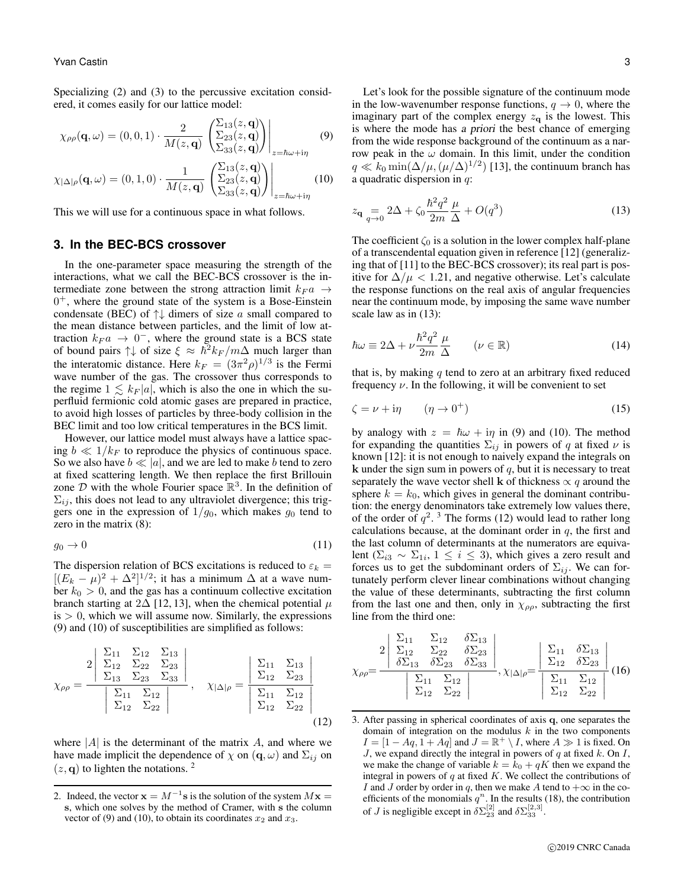Specializing (2) and (3) to the percussive excitation considered, it comes easily for our lattice model:

$$
\chi_{\rho\rho}(\mathbf{q},\omega) = (0,0,1) \cdot \frac{2}{M(z,\mathbf{q})} \left. \left. \begin{pmatrix} \Sigma_{13}(z,\mathbf{q}) \\ \Sigma_{23}(z,\mathbf{q}) \\ \Sigma_{33}(z,\mathbf{q}) \end{pmatrix} \right|_{z=\hbar\omega+i\eta} \tag{9}
$$

$$
\chi_{|\Delta|\rho}(\mathbf{q},\omega) = (0,1,0) \cdot \frac{1}{M(z,\mathbf{q})} \left. \left( \frac{\Sigma_{13}(z,\mathbf{q})}{\Sigma_{23}(z,\mathbf{q})} \right) \right|_{z=\hbar\omega+i\eta} (10)
$$

This we will use for a continuous space in what follows.

#### **3. In the BEC-BCS crossover**

In the one-parameter space measuring the strength of the interactions, what we call the BEC-BCS crossover is the intermediate zone between the strong attraction limit  $k_F a \rightarrow$ 0 <sup>+</sup>, where the ground state of the system is a Bose-Einstein condensate (BEC) of  $\uparrow\downarrow$  dimers of size a small compared to the mean distance between particles, and the limit of low attraction  $k_F a \rightarrow 0^-$ , where the ground state is a BCS state of bound pairs  $\uparrow \downarrow$  of size  $\xi \approx \hbar^2 k_F / m\Delta$  much larger than the interatomic distance. Here  $k_F = (3\pi^2 \rho)^{1/3}$  is the Fermi wave number of the gas. The crossover thus corresponds to the regime  $1 \leq k_F |a|$ , which is also the one in which the superfluid fermionic cold atomic gases are prepared in practice, to avoid high losses of particles by three-body collision in the BEC limit and too low critical temperatures in the BCS limit.

However, our lattice model must always have a lattice spacing  $b \ll 1/k_F$  to reproduce the physics of continuous space. So we also have  $b \ll |a|$ , and we are led to make b tend to zero at fixed scattering length. We then replace the first Brillouin zone  $D$  with the whole Fourier space  $\mathbb{R}^3$ . In the definition of  $\Sigma_{ij}$ , this does not lead to any ultraviolet divergence; this triggers one in the expression of  $1/g_0$ , which makes  $g_0$  tend to zero in the matrix (8):

$$
g_0 \to 0 \tag{11}
$$

The dispersion relation of BCS excitations is reduced to  $\varepsilon_k$  =  $[(E_k - \mu)^2 + \Delta^2]^{1/2}$ ; it has a minimum  $\Delta$  at a wave number  $k_0 > 0$ , and the gas has a continuum collective excitation branch starting at 2 $\Delta$  [12, 13], when the chemical potential  $\mu$  $is > 0$ , which we will assume now. Similarly, the expressions (9) and (10) of susceptibilities are simplified as follows:

$$
\chi_{\rho\rho} = \frac{2 \begin{vmatrix} \Sigma_{11} & \Sigma_{12} & \Sigma_{13} \\ \Sigma_{12} & \Sigma_{22} & \Sigma_{23} \\ \Sigma_{13} & \Sigma_{23} & \Sigma_{33} \end{vmatrix}}{\begin{vmatrix} \Sigma_{11} & \Sigma_{12} \\ \Sigma_{12} & \Sigma_{22} \end{vmatrix}}, \quad \chi_{|\Delta|\rho} = \frac{\begin{vmatrix} \Sigma_{11} & \Sigma_{13} \\ \Sigma_{12} & \Sigma_{23} \end{vmatrix}}{\begin{vmatrix} \Sigma_{11} & \Sigma_{12} \\ \Sigma_{12} & \Sigma_{22} \end{vmatrix}}
$$
\n(12)

where  $|A|$  is the determinant of the matrix A, and where we have made implicit the dependence of  $\chi$  on  $({\bf q}, \omega)$  and  $\Sigma_{ij}$  on  $(z, q)$  to lighten the notations. <sup>2</sup>

Let's look for the possible signature of the continuum mode in the low-wavenumber response functions,  $q \rightarrow 0$ , where the imaginary part of the complex energy  $z_{q}$  is the lowest. This is where the mode has a priori the best chance of emerging from the wide response background of the continuum as a narrow peak in the  $\omega$  domain. In this limit, under the condition  $q \ll k_0 \min(\Delta/\mu, (\mu/\Delta)^{1/2})$  [13], the continuum branch has a quadratic dispersion in  $q$ :

$$
z_{\mathbf{q}} = 2\Delta + \zeta_0 \frac{\hbar^2 q^2}{2m} \frac{\mu}{\Delta} + O(q^3)
$$
 (13)

The coefficient  $\zeta_0$  is a solution in the lower complex half-plane of a transcendental equation given in reference [12] (generalizing that of [11] to the BEC-BCS crossover); its real part is positive for  $\Delta/\mu$  < 1.21, and negative otherwise. Let's calculate the response functions on the real axis of angular frequencies near the continuum mode, by imposing the same wave number scale law as in (13):

$$
\hbar\omega \equiv 2\Delta + \nu \frac{\hbar^2 q^2}{2m} \frac{\mu}{\Delta} \qquad (\nu \in \mathbb{R}) \tag{14}
$$

that is, by making  $q$  tend to zero at an arbitrary fixed reduced frequency  $\nu$ . In the following, it will be convenient to set

$$
\zeta = \nu + i\eta \qquad (\eta \to 0^+) \tag{15}
$$

by analogy with  $z = \hbar \omega + i \eta$  in (9) and (10). The method for expanding the quantities  $\Sigma_{ij}$  in powers of q at fixed  $\nu$  is known [12]: it is not enough to naively expand the integrals on  $k$  under the sign sum in powers of  $q$ , but it is necessary to treat separately the wave vector shell k of thickness  $\propto q$  around the sphere  $k = k_0$ , which gives in general the dominant contribution: the energy denominators take extremely low values there, of the order of  $q^2$ .<sup>3</sup> The forms (12) would lead to rather long calculations because, at the dominant order in  $q$ , the first and the last column of determinants at the numerators are equivalent ( $\Sigma_{i3} \sim \Sigma_{1i}$ ,  $1 \leq i \leq 3$ ), which gives a zero result and forces us to get the subdominant orders of  $\Sigma_{ij}$ . We can fortunately perform clever linear combinations without changing the value of these determinants, subtracting the first column from the last one and then, only in  $\chi_{\rho\rho}$ , subtracting the first line from the third one:

$$
\chi_{\rho\rho} = \frac{2 \begin{vmatrix} \Sigma_{11} & \Sigma_{12} & \delta \Sigma_{13} \\ \Sigma_{12} & \Sigma_{22} & \delta \Sigma_{23} \\ \delta \Sigma_{13} & \delta \Sigma_{23} & \delta \Sigma_{33} \end{vmatrix}}{\begin{vmatrix} \Sigma_{11} & \Sigma_{12} \\ \Sigma_{12} & \Sigma_{22} \end{vmatrix}}, \chi_{|\Delta|\rho} = \frac{\begin{vmatrix} \Sigma_{11} & \delta \Sigma_{13} \\ \Sigma_{12} & \delta \Sigma_{23} \end{vmatrix}}{\begin{vmatrix} \Sigma_{11} & \Sigma_{12} \\ \Sigma_{12} & \Sigma_{22} \end{vmatrix}} (16)
$$

<sup>2.</sup> Indeed, the vector  $\mathbf{x} = M^{-1}\mathbf{s}$  is the solution of the system  $M\mathbf{x} =$ s, which one solves by the method of Cramer, with s the column vector of (9) and (10), to obtain its coordinates  $x_2$  and  $x_3$ .

<sup>3.</sup> After passing in spherical coordinates of axis q, one separates the domain of integration on the modulus  $k$  in the two components  $I = [1 - Aq, 1 + Aq]$  and  $J = \mathbb{R}^+ \setminus I$ , where  $A \gg 1$  is fixed. On J, we expand directly the integral in powers of  $q$  at fixed  $k$ . On  $I$ , we make the change of variable  $k = k_0 + qK$  then we expand the integral in powers of  $q$  at fixed  $K$ . We collect the contributions of I and J order by order in q, then we make A tend to  $+\infty$  in the coefficients of the monomials  $q^n$ . In the results (18), the contribution of *J* is negligible except in  $\delta \Sigma_{23}^{[2]}$  and  $\delta \Sigma_{33}^{[2,3]}$ .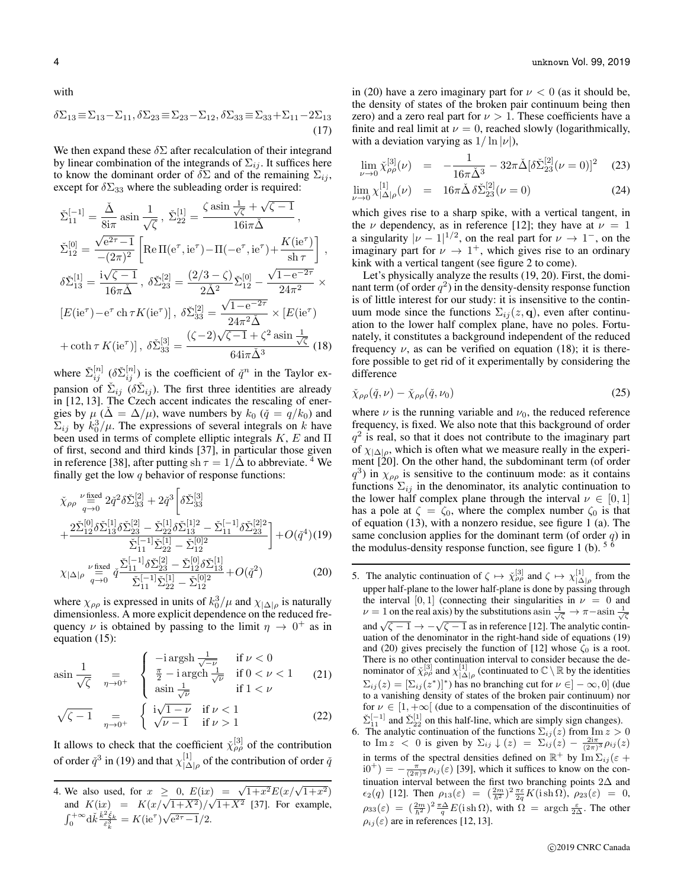with

$$
\delta \Sigma_{13} \equiv \Sigma_{13} - \Sigma_{11}, \delta \Sigma_{23} \equiv \Sigma_{23} - \Sigma_{12}, \delta \Sigma_{33} \equiv \Sigma_{33} + \Sigma_{11} - 2\Sigma_{13}
$$
\n(17)

We then expand these  $\delta \Sigma$  after recalculation of their integrand by linear combination of the integrands of  $\Sigma_{ij}$ . It suffices here to know the dominant order of  $\delta \Sigma$  and of the remaining  $\Sigma_{ij}$ , except for  $\delta \Sigma_{33}$  where the subleading order is required:

$$
\tilde{\Sigma}_{11}^{[-1]} = \frac{\tilde{\Delta}}{8i\pi} \sin \frac{1}{\sqrt{\zeta}}, \ \tilde{\Sigma}_{22}^{[1]} = \frac{\zeta \sin \frac{1}{\sqrt{\zeta}} + \sqrt{\zeta - 1}}{16i\pi\tilde{\Delta}},
$$
\n
$$
\tilde{\Sigma}_{12}^{[0]} = \frac{\sqrt{e^{2\tau} - 1}}{-(2\pi)^2} \left[ \text{Re}\,\Pi(e^{\tau}, ie^{\tau}) - \Pi(-e^{\tau}, ie^{\tau}) + \frac{K(ie^{\tau})}{\text{sh}\,\tau} \right],
$$
\n
$$
\delta \tilde{\Sigma}_{13}^{[1]} = \frac{i\sqrt{\zeta - 1}}{16\pi\tilde{\Delta}}, \ \delta \tilde{\Sigma}_{23}^{[2]} = \frac{(2/3 - \zeta)}{2\tilde{\Delta}^2} \tilde{\Sigma}_{12}^{[0]} - \frac{\sqrt{1 - e^{-2\tau}}}{24\pi^2} \times
$$
\n
$$
[E(ie^{\tau}) - e^{\tau} \operatorname{ch}\tau K(ie^{\tau})], \ \delta \tilde{\Sigma}_{33}^{[2]} = \frac{\sqrt{1 - e^{-2\tau}}}{24\pi^2\tilde{\Delta}} \times [E(ie^{\tau}) + \coth\tau K(ie^{\tau})], \ \delta \tilde{\Sigma}_{33}^{[3]} = \frac{(\zeta - 2)\sqrt{\zeta - 1} + \zeta^2 \sin \frac{1}{\sqrt{\zeta}}}{64i\pi\tilde{\Delta}^3} \ (18)
$$

where  $\check{\Sigma}_{ij}^{[n]}$  ( $\delta \check{\Sigma}_{ij}^{[n]}$ ) is the coefficient of  $\check{q}^n$  in the Taylor expansion of  $\check{\Sigma}_{ij}$  ( $\delta \check{\Sigma}_{ij}$ ). The first three identities are already in [12, 13]. The Czech accent indicates the rescaling of energies by  $\mu$  ( $\Delta = \Delta/\mu$ ), wave numbers by  $k_0$  ( $\check{q} = q/k_0$ ) and  $\Sigma_{ij}$  by  $k_0^3/\mu$ . The expressions of several integrals on k have been used in terms of complete elliptic integrals  $K$ ,  $E$  and  $\Pi$ of first, second and third kinds [37], in particular those given in reference [38], after putting sh  $\tau = 1/\Delta$  to abbreviate. <sup>4</sup> We finally get the low  $q$  behavior of response functions:

$$
\tilde{\chi}_{\rho\rho} \stackrel{\nu \text{ fixed}}{=} 2\tilde{q}^2 \delta \tilde{\Sigma}_{33}^{[2]} + 2\tilde{q}^3 \left[ \delta \tilde{\Sigma}_{33}^{[3]} \right] \n+ \frac{2\tilde{\Sigma}_{12}^{[0]} \delta \tilde{\Sigma}_{13}^{[1]} \delta \tilde{\Sigma}_{23}^{[2]} - \tilde{\Sigma}_{12}^{[1]} \delta \tilde{\Sigma}_{23}^{[1]2} - \tilde{\Sigma}_{11}^{[-1]} \delta \tilde{\Sigma}_{23}^{[2]} \left[ + O(\tilde{q}^4)(19) \right] \n\tilde{\Sigma}_{11}^{[-1]} \tilde{\Sigma}_{22}^{[1]} - \tilde{\Sigma}_{12}^{[0]2} \left[ + O(\tilde{q}^4)(19) \right] \n\tilde{\Sigma}_{11}^{\text{seed}} \tilde{q} \frac{\tilde{\Sigma}_{11}^{[-1]} \delta \tilde{\Sigma}_{23}^{[2]} - \tilde{\Sigma}_{12}^{[0]} \delta \tilde{\Sigma}_{13}^{[1]} + O(\tilde{q}^2)}{2} \qquad (20)
$$

$$
\chi_{|\Delta|\rho} \stackrel{\nu \text{ fixed}}{=} \tilde{q}^{\frac{\nu_1}{2}} \tilde{q}^{\frac{\nu_1 1}{2}} \frac{\delta \Sigma_{23} - \Sigma_{12} \delta \Sigma_{13}}{\tilde{\Sigma}_{11}^{[-1]} \tilde{\Sigma}_{22}^{[1]} - \tilde{\Sigma}_{12}^{[0]2}} + O(\tilde{q}^2)
$$
(20)

where  $\chi_{\rho\rho}$  is expressed in units of  $k_0^3/\mu$  and  $\chi_{|\Delta|\rho}$  is naturally dimensionless. A more explicit dependence on the reduced frequency  $\nu$  is obtained by passing to the limit  $\eta \to 0^+$  as in equation (15):

$$
\operatorname{asin} \frac{1}{\sqrt{\zeta}} \quad \underset{\eta \to 0^{+}}{=} \quad \begin{cases} \begin{array}{ll} -\operatorname{i} \operatorname{argsh} \frac{1}{\sqrt{-\nu}} & \text{if } \nu < 0\\ \frac{\pi}{2} - \operatorname{i} \operatorname{argch} \frac{1}{\sqrt{\nu}} & \text{if } 0 < \nu < 1\\ \operatorname{asin} \frac{1}{\sqrt{\nu}} & \text{if } 1 < \nu \end{array} \end{cases} \tag{21}
$$

$$
\sqrt{\zeta - 1} \quad \underset{\eta \to 0^{+}}{=} \quad \begin{cases} \text{i}\sqrt{1 - \nu} & \text{if } \nu < 1\\ \sqrt{\nu - 1} & \text{if } \nu > 1 \end{cases} \tag{22}
$$

It allows to check that the coefficient  $\tilde{\chi}_{\rho\rho}^{[3]}$  of the contribution of order  $\check{q}^3$  in (19) and that  $\chi^{[1]}_{\Lambda}$  $\lim_{|\Delta|\rho}$  of the contribution of order  $\check{q}$ 

4. We also used, for  $x \geq 0$ ,  $E(ix) = \sqrt{1+x^2}E(x/\sqrt{1+x^2})$ we also used, for  $x \ge 0$ ,  $E(ix) = \sqrt{1 + x^2} E(x/\sqrt{1 + x^2})$ <br>and  $K(ix) = K(x/\sqrt{1 + X^2})/\sqrt{1 + X^2}$  [37]. For example,  $\int_0^{+\infty} d\check{k} \frac{\check{k}^2 \check{\xi}_k}{\check{\epsilon}_k^3} = K(\mathrm{i} \mathrm{e}^\tau) \sqrt{\mathrm{e}^{2\tau}-1/2}.$ 

in (20) have a zero imaginary part for  $\nu < 0$  (as it should be, the density of states of the broken pair continuum being then zero) and a zero real part for  $\nu > 1$ . These coefficients have a finite and real limit at  $\nu = 0$ , reached slowly (logarithmically, with a deviation varying as  $1/\ln |\nu|$ ),

$$
\lim_{\nu \to 0} \check{\chi}_{\rho\rho}^{[3]}(\nu) = -\frac{1}{16\pi \check{\Delta}^3} - 32\pi \check{\Delta} [\delta \check{\Sigma}_{23}^{[2]}(\nu = 0)]^2 \quad (23)
$$

$$
\lim_{\nu \to 0} \chi^{[1]}_{|\Delta|\rho}(\nu) = 16\pi \check{\Delta} \, \delta \check{\Sigma}^{[2]}_{23}(\nu = 0) \tag{24}
$$

which gives rise to a sharp spike, with a vertical tangent, in the *ν* dependency, as in reference [12]; they have at  $\nu = 1$ a singularity  $|\nu - 1|^{1/2}$ , on the real part for  $\nu \rightarrow 1^-$ , on the imaginary part for  $\nu \rightarrow 1^+$ , which gives rise to an ordinary kink with a vertical tangent (see figure 2 to come).

Let's physically analyze the results (19, 20). First, the dominant term (of order  $q^2$ ) in the density-density response function is of little interest for our study: it is insensitive to the continuum mode since the functions  $\Sigma_{ij}(z, \mathbf{q})$ , even after continuation to the lower half complex plane, have no poles. Fortunately, it constitutes a background independent of the reduced frequency  $\nu$ , as can be verified on equation (18); it is therefore possible to get rid of it experimentally by considering the difference

$$
\tilde{\chi}_{\rho\rho}(\tilde{q},\nu) - \tilde{\chi}_{\rho\rho}(\tilde{q},\nu_0) \tag{25}
$$

where  $\nu$  is the running variable and  $\nu_0$ , the reduced reference frequency, is fixed. We also note that this background of order  $q<sup>2</sup>$  is real, so that it does not contribute to the imaginary part of  $\chi_{|\Delta|\rho}$ , which is often what we measure really in the experiment [20]. On the other hand, the subdominant term (of order  $q^3$ ) in  $\chi_{\rho\rho}$  is sensitive to the continuum mode: as it contains functions  $\Sigma_{ij}$  in the denominator, its analytic continuation to the lower half complex plane through the interval  $\nu \in [0, 1]$ has a pole at  $\zeta = \zeta_0$ , where the complex number  $\zeta_0$  is that of equation (13), with a nonzero residue, see figure 1 (a). The same conclusion applies for the dominant term (of order  $q$ ) in the modulus-density response function, see figure 1 (b).  $5\frac{6}{1}$ 

5. The analytic continuation of  $\zeta \mapsto \chi_{\rho\rho}^{[3]}$  and  $\zeta \mapsto \chi_{|\Delta|\rho}^{[1]}$  from the upper half-plane to the lower half-plane is done by passing through the interval [0, 1] (connecting their singularities in  $\nu = 0$  and  $\nu = 1$  on the real axis) by the substitutions as  $\frac{1}{\sqrt{\zeta}} \to \pi - \arcsin \frac{1}{\sqrt{\zeta}}$ and  $\sqrt{\zeta - 1} \rightarrow -\sqrt{\zeta - 1}$  as in reference [12]. The analytic continuation of the denominator in the right-hand side of equations (19) and (20) gives precisely the function of [12] whose  $\zeta_0$  is a root. There is no other continuation interval to consider because the denominator of  $\chi_{\rho\rho}^{[3]}$  and  $\chi_{|\Delta|\rho}^{[1]}$  (continuated to  $\mathbb{C}\setminus\mathbb{R}$  by the identities  $\Sigma_{ij}(z) = [\Sigma_{ij}(z^*)]^*$ ) has no branching cut for  $\nu \in ]-\infty,0]$  (due to a vanishing density of states of the broken pair continuum) nor for  $\nu \in [1, +\infty]$  (due to a compensation of the discontinuities of  $\check{\Sigma}_{11}^{[-1]}$  and  $\check{\Sigma}_{22}^{[1]}$  on this half-line, which are simply sign changes).

6. The analytic continuation of the functions  $\Sigma_{ij}(z)$  from  $\text{Im } z > 0$ to Im  $z < 0$  is given by  $\Sigma_{ij} \downarrow (z) = \Sigma_{ij} (z) - \frac{2i\pi}{(2\pi)^3} \rho_{ij} (z)$ in terms of the spectral densities defined on  $\mathbb{R}^+$  by  $\text{Im } \Sigma_{ij} (\varepsilon +$  $i0^+) = -\frac{\pi}{(2\pi)^3} \rho_{ij}(\varepsilon)$  [39], which it suffices to know on the continuation interval between the first two branching points 2∆ and  $\epsilon_2(q)$  [12]. Then  $\rho_{13}(\varepsilon) = \left(\frac{2m}{\hbar^2}\right)^2 \frac{\pi \varepsilon}{2q} K(\mathrm{i} \sin \Omega)$ ,  $\rho_{23}(\varepsilon) = 0$ ,  $\rho_{33}(\varepsilon) = (\frac{2m}{\hbar^2})^2 \frac{\pi \Delta}{q} E(\mathrm{i} \sh{\Omega})$ , with  $\Omega = \mathrm{argch} \frac{\varepsilon}{2\Delta}$ . The other  $\rho_{ij}(\varepsilon)$  are in references [12, 13].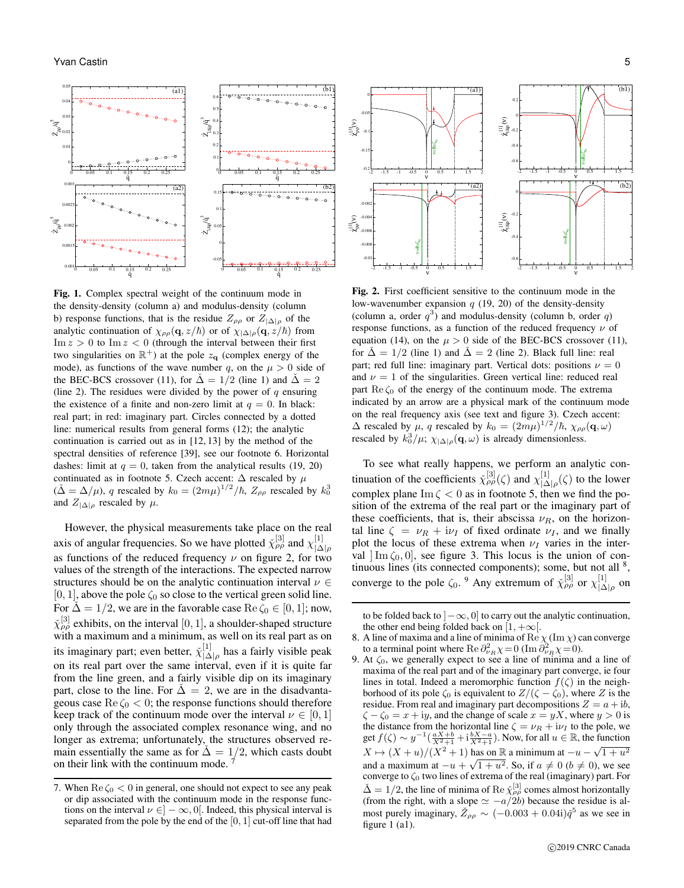

Fig. 1. Complex spectral weight of the continuum mode in the density-density (column a) and modulus-density (column b) response functions, that is the residue  $Z_{\rho\rho}$  or  $Z_{|\Delta|\rho}$  of the analytic continuation of  $\chi_{\rho\rho}(\mathbf{q}, z/\hbar)$  or of  $\chi_{|\Delta|\rho}(\mathbf{q}, z/\hbar)$  from  $\text{Im } z > 0$  to  $\text{Im } z < 0$  (through the interval between their first two singularities on  $\mathbb{R}^+$ ) at the pole  $z_{q}$  (complex energy of the mode), as functions of the wave number q, on the  $\mu > 0$  side of the BEC-BCS crossover (11), for  $\tilde{\Delta} = 1/2$  (line 1) and  $\tilde{\Delta} = 2$ (line 2). The residues were divided by the power of  $q$  ensuring the existence of a finite and non-zero limit at  $q = 0$ . In black: real part; in red: imaginary part. Circles connected by a dotted line: numerical results from general forms (12); the analytic continuation is carried out as in [12, 13] by the method of the spectral densities of reference [39], see our footnote 6. Horizontal dashes: limit at  $q = 0$ , taken from the analytical results (19, 20) continuated as in footnote 5. Czech accent:  $\Delta$  rescaled by  $\mu$  $(\check{\Delta} = \Delta/\mu)$ , q rescaled by  $k_0 = (2m\mu)^{1/2}/\hbar$ ,  $Z_{\rho\rho}$  rescaled by  $k_0^3$ and  $Z_{|\Delta|\rho}$  rescaled by  $\mu$ .

However, the physical measurements take place on the real axis of angular frequencies. So we have plotted  $\tilde{\chi}^{[3]}_{\rho\rho}$  and  $\chi^{[1]}_{\rho\Lambda}$ axis of angular frequencies. So we have proteen  $\chi_{\rho\rho}$  and  $\chi_{|\Delta|\rho}$  as functions of the reduced frequency  $\nu$  on figure 2, for two values of the strength of the interactions. The expected narrow structures should be on the analytic continuation interval  $\nu \in$ [0, 1], above the pole  $\zeta_0$  so close to the vertical green solid line. For  $\Delta = 1/2$ , we are in the favorable case Re  $\zeta_0 \in [0, 1]$ ; now,  $\tilde{\chi}^{[3]}_{\rho\rho}$  exhibits, on the interval  $[0,1]$ , a shoulder-shaped structure with a maximum and a minimum, as well on its real part as on its imaginary part; even better,  $\chi_{1\Delta}^{[1]}$  $\frac{1}{|\Delta|_\rho}$  has a fairly visible peak on its real part over the same interval, even if it is quite far from the line green, and a fairly visible dip on its imaginary part, close to the line. For  $\dot{\Delta} = 2$ , we are in the disadvantageous case  $\text{Re }\zeta_0 < 0$ ; the response functions should therefore keep track of the continuum mode over the interval  $\nu \in [0, 1]$ only through the associated complex resonance wing, and no longer as extrema; unfortunately, the structures observed remain essentially the same as for  $\dot{\Delta} = 1/2$ , which casts doubt on their link with the continuum mode. <sup>7</sup>



Fig. 2. First coefficient sensitive to the continuum mode in the low-wavenumber expansion  $q(19, 20)$  of the density-density (column a, order  $q^3$ ) and modulus-density (column b, order q) response functions, as a function of the reduced frequency  $\nu$  of equation (14), on the  $\mu > 0$  side of the BEC-BCS crossover (11), for  $\tilde{\Delta} = 1/2$  (line 1) and  $\tilde{\Delta} = 2$  (line 2). Black full line: real part; red full line: imaginary part. Vertical dots: positions  $\nu = 0$ and  $\nu = 1$  of the singularities. Green vertical line: reduced real part  $\text{Re}\,\zeta_0$  of the energy of the continuum mode. The extrema indicated by an arrow are a physical mark of the continuum mode on the real frequency axis (see text and figure 3). Czech accent:  $\Delta$  rescaled by  $\mu$ , q rescaled by  $k_0 = (2m\mu)^{1/2}/\hbar$ ,  $\chi_{\rho\rho}(\mathbf{q}, \omega)$ rescaled by  $k_0^3/\mu$ ;  $\chi_{|\Delta|\rho}(\mathbf{q}, \omega)$  is already dimensionless.

To see what really happens, we perform an analytic continuation of the coefficients  $\check{\chi}_{\rho\rho}^{[3]}(\zeta)$  and  $\chi_{|\Lambda}^{[1]}$  $\bigcup_{|\Delta|\rho}^{[1]}(\zeta)$  to the lower complex plane  $\text{Im }\zeta < 0$  as in footnote 5, then we find the position of the extrema of the real part or the imaginary part of these coefficients, that is, their abscissa  $\nu_R$ , on the horizontal line  $\zeta = \nu_R + i\nu_I$  of fixed ordinate  $\nu_I$ , and we finally plot the locus of these extrema when  $\nu_I$  varies in the interval  $\text{Im }\zeta_0, 0$ , see figure 3. This locus is the union of continuous lines (its connected components); some, but not all <sup>8</sup>, converge to the pole  $\zeta_0$ . <sup>9</sup> Any extremum of  $\tilde{\chi}_{\rho\rho}^{[3]}$  or  $\chi_{\vert A}^{[1]}$  $\frac{1}{|\Delta| \rho}$  on

<sup>7.</sup> When  $\text{Re }\zeta_0 < 0$  in general, one should not expect to see any peak or dip associated with the continuum mode in the response functions on the interval  $\nu \in ]-\infty,0[$ . Indeed, this physical interval is separated from the pole by the end of the  $[0, 1]$  cut-off line that had

to be folded back to  $] - \infty$ , 0] to carry out the analytic continuation, the other end being folded back on  $[1, +\infty]$ .

<sup>8.</sup> A line of maxima and a line of minima of Re  $\chi$  (Im  $\chi$ ) can converge to a terminal point where Re  $\partial_{\nu_R}^2 \chi = 0$  (Im  $\partial_{\nu_R}^2 \chi = 0$ ).

<sup>9.</sup> At  $\zeta_0$ , we generally expect to see a line of minima and a line of maxima of the real part and of the imaginary part converge, ie four lines in total. Indeed a meromorphic function  $f(\zeta)$  in the neighborhood of its pole  $\zeta_0$  is equivalent to  $Z/(\zeta - \zeta_0)$ , where Z is the residue. From real and imaginary part decompositions  $Z = a + ib$ ,  $\zeta - \zeta_0 = x + iy$ , and the change of scale  $x = yX$ , where  $y > 0$  is the distance from the horizontal line  $\zeta = \nu_R + i\nu_I$  to the pole, we get  $f(\zeta) \sim y^{-1}(\frac{aX+b}{X^2+1} + i\frac{bX-a}{X^2+1})$ . Now, for all  $u \in \mathbb{R}$ , the function  $X \mapsto (X+u)/(X^2+1)$  has on R a minimum at  $-u - \sqrt{1+u^2}$ and a maximum at  $-u + \sqrt{1 + u^2}$ . So, if  $a \neq 0$  ( $b \neq 0$ ), we see converge to  $\zeta_0$  two lines of extrema of the real (imaginary) part. For  $\tilde{\Delta} = 1/2$ , the line of minima of Re  $\tilde{\chi}_{\rho\rho}^{[3]}$  comes almost horizontally (from the right, with a slope  $\simeq -a/2b$ ) because the residue is almost purely imaginary,  $\overline{\check{Z}_{\rho\rho}} \sim (-0.003 + 0.04i) \check{q}^5$  as we see in figure 1 (a1).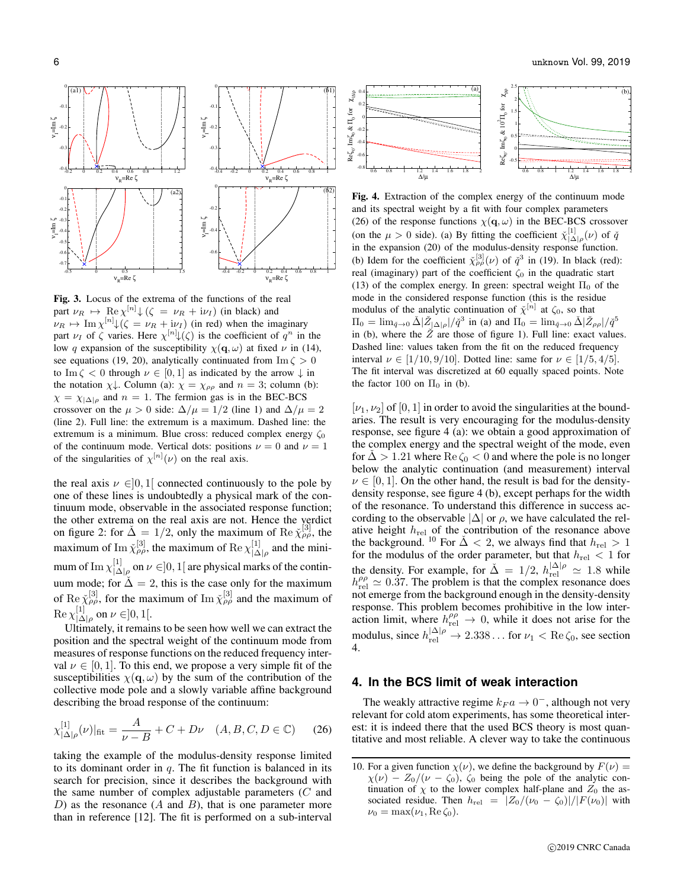

Fig. 3. Locus of the extrema of the functions of the real part  $\nu_R \mapsto \text{Re } \chi^{[n]} \downarrow (\zeta = \nu_R + i\nu_I)$  (in black) and  $\nu_R \mapsto \text{Im } \chi^{[n]} \downarrow (\zeta = \nu_R + i\nu_I)$  (in red) when the imaginary part  $\nu_I$  of  $\zeta$  varies. Here  $\chi^{[n]} \psi(\zeta)$  is the coefficient of  $q^n$  in the low q expansion of the susceptibility  $\chi(\mathbf{q}, \omega)$  at fixed  $\nu$  in (14), see equations (19, 20), analytically continuated from  $\text{Im }\zeta > 0$ to Im  $\zeta$  < 0 through  $\nu \in [0, 1]$  as indicated by the arrow  $\downarrow$  in the notation  $\chi\downarrow$ . Column (a):  $\chi = \chi_{\rho\rho}$  and  $n = 3$ ; column (b):  $\chi = \chi_{|\Delta|\rho}$  and  $n = 1$ . The fermion gas is in the BEC-BCS crossover on the  $\mu > 0$  side:  $\Delta/\mu = 1/2$  (line 1) and  $\Delta/\mu = 2$ (line 2). Full line: the extremum is a maximum. Dashed line: the extremum is a minimum. Blue cross: reduced complex energy  $\zeta_0$ of the continuum mode. Vertical dots: positions  $\nu = 0$  and  $\nu = 1$ of the singularities of  $\chi^{[n]}(\nu)$  on the real axis.

the real axis  $\nu \in ]0,1[$  connected continuously to the pole by one of these lines is undoubtedly a physical mark of the continuum mode, observable in the associated response function; the other extrema on the real axis are not. Hence the verdict on figure 2: for  $\tilde{\Delta} = 1/2$ , only the maximum of Re  $\tilde{\chi}^{[3]}_{\rho\rho}$ , the maximum of Im  $\chi_{\rho\rho}^{[3]}$ , the maximum of Re  $\chi_{|\Lambda}^{[1]}$  $\bigcup_{|\Delta|\rho}^{[1]}$  and the minimum of Im  $\chi_{|\Lambda}^{[1]}$  $\vert_{\Delta\vert\rho}^{^{[1]}}$  on  $\nu\in]0,1[$  are physical marks of the continuum mode; for  $\Delta = 2$ , this is the case only for the maximum of Re  $\tilde{\chi}^{[3]}_{\rho\rho}$ , for the maximum of Im  $\tilde{\chi}^{[3]}_{\rho\rho}$  and the maximum of  ${\rm Re}\,\chi_{\perp\Lambda}^{[1]}$  $\bigcup_{|\Delta|\rho}^{[1]}$  on  $\nu \in ]0,1[$ .

Ultimately, it remains to be seen how well we can extract the position and the spectral weight of the continuum mode from measures of response functions on the reduced frequency interval  $\nu \in [0, 1]$ . To this end, we propose a very simple fit of the susceptibilities  $\chi(\mathbf{q}, \omega)$  by the sum of the contribution of the collective mode pole and a slowly variable affine background describing the broad response of the continuum:

$$
\chi_{|\Delta|\rho}^{[1]}(\nu)|_{\text{fit}} = \frac{A}{\nu - B} + C + D\nu \quad (A, B, C, D \in \mathbb{C}) \tag{26}
$$

taking the example of the modulus-density response limited to its dominant order in  $q$ . The fit function is balanced in its search for precision, since it describes the background with the same number of complex adjustable parameters (C and D) as the resonance  $(A \text{ and } B)$ , that is one parameter more than in reference [12]. The fit is performed on a sub-interval



Fig. 4. Extraction of the complex energy of the continuum mode and its spectral weight by a fit with four complex parameters (26) of the response functions  $\chi(\mathbf{q}, \omega)$  in the BEC-BCS crossover (on the  $\mu > 0$  side). (a) By fitting the coefficient  $\chi^{[1]}_{|\Delta|\rho}(\nu)$  of  $\check{q}$ in the expansion (20) of the modulus-density response function. (b) Idem for the coefficient  $\tilde{\chi}_{\rho\rho}^{[3]}(\nu)$  of  $\tilde{q}^3$  in (19). In black (red): real (imaginary) part of the coefficient  $\zeta_0$  in the quadratic start (13) of the complex energy. In green: spectral weight  $\Pi_0$  of the mode in the considered response function (this is the residue modulus of the analytic continuation of  $\tilde{\chi}^{[n]}$  at  $\zeta_0$ , so that  $\Pi_0 = \lim_{\tilde{q}\to 0} \tilde{\Delta} |\tilde{Z}_{|\Delta|\rho}| / \tilde{q}^3$  in (a) and  $\Pi_0 = \lim_{\tilde{q}\to 0} \tilde{\Delta} |\tilde{Z}_{\rho\rho}| / \tilde{q}^5$ in (b), where the  $\check{Z}$  are those of figure 1). Full line: exact values. Dashed line: values taken from the fit on the reduced frequency interval  $\nu \in [1/10, 9/10]$ . Dotted line: same for  $\nu \in [1/5, 4/5]$ . The fit interval was discretized at 60 equally spaced points. Note the factor 100 on  $\Pi_0$  in (b).

 $[\nu_1, \nu_2]$  of  $[0, 1]$  in order to avoid the singularities at the boundaries. The result is very encouraging for the modulus-density response, see figure 4 (a): we obtain a good approximation of the complex energy and the spectral weight of the mode, even for  $\Delta > 1.21$  where  $\text{Re }\zeta_0 < 0$  and where the pole is no longer below the analytic continuation (and measurement) interval  $\nu \in [0, 1]$ . On the other hand, the result is bad for the densitydensity response, see figure 4 (b), except perhaps for the width of the resonance. To understand this difference in success according to the observable  $|\Delta|$  or  $\rho$ , we have calculated the relative height  $h_{rel}$  of the contribution of the resonance above the background. <sup>10</sup> For  $\tilde{\Delta}$  < 2, we always find that  $h_{\text{rel}} > 1$ for the modulus of the order parameter, but that  $h_{rel} < 1$  for the density. For example, for  $\Delta = 1/2$ ,  $h_{\text{rel}}^{|\Delta|\rho} \simeq 1.8$  while  $h_{\text{rel}}^{\rho \rho} \simeq 0.37$ . The problem is that the complex resonance does not emerge from the background enough in the density-density response. This problem becomes prohibitive in the low interaction limit, where  $h_{rel}^{\rho\rho} \rightarrow 0$ , while it does not arise for the modulus, since  $h_{rel}^{|\Delta|\rho} \rightarrow 2.338...$  for  $\nu_1 < \text{Re }\zeta_0$ , see section 4.

## **4. In the BCS limit of weak interaction**

The weakly attractive regime  $k_F a \rightarrow 0^-$ , although not very relevant for cold atom experiments, has some theoretical interest: it is indeed there that the used BCS theory is most quantitative and most reliable. A clever way to take the continuous

<sup>10.</sup> For a given function  $\chi(\nu)$ , we define the background by  $F(\nu) =$  $\chi(\nu) - Z_0/(\nu - \zeta_0)$ ,  $\zeta_0$  being the pole of the analytic continuation of  $\chi$  to the lower complex half-plane and  $Z_0$  the associated residue. Then  $h_{rel} = |Z_0/(\nu_0 - \zeta_0)|/|F(\nu_0)|$  with  $\nu_0 = \max(\nu_1, \text{Re }\zeta_0).$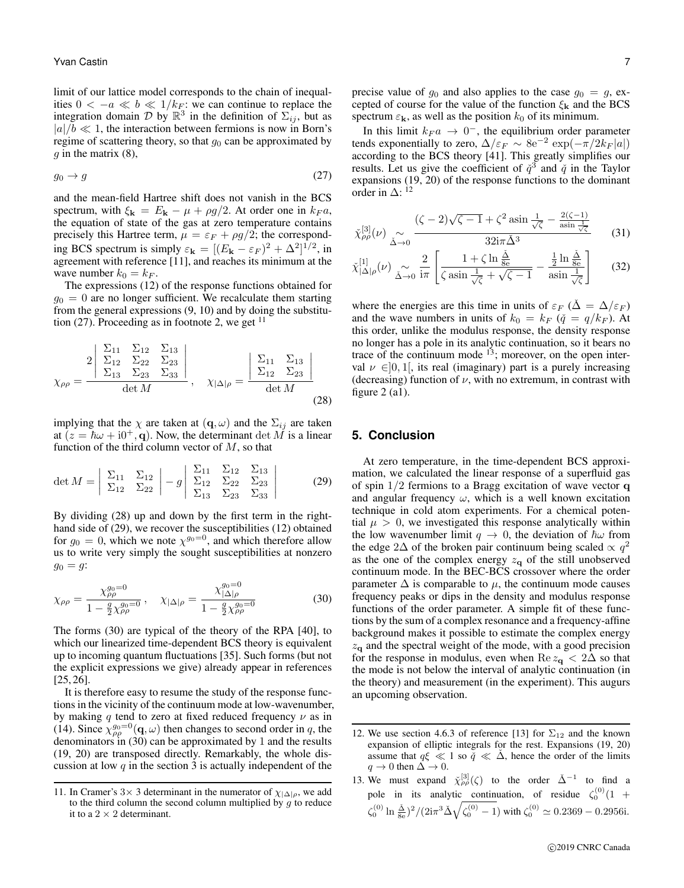limit of our lattice model corresponds to the chain of inequalities  $0 < -a \ll b \ll 1/k_F$ : we can continue to replace the integration domain  $\mathcal{D}$  by  $\mathbb{R}^3$  in the definition of  $\Sigma_{ij}$ , but as  $|a|/b \ll 1$ , the interaction between fermions is now in Born's regime of scattering theory, so that  $g_0$  can be approximated by  $g$  in the matrix  $(8)$ ,

$$
g_0 \to g \tag{27}
$$

and the mean-field Hartree shift does not vanish in the BCS spectrum, with  $\xi_{\mathbf{k}} = E_{\mathbf{k}} - \mu + \rho g/2$ . At order one in  $k_F a$ , the equation of state of the gas at zero temperature contains precisely this Hartree term,  $\mu = \varepsilon_F + \rho g/2$ ; the corresponding BCS spectrum is simply  $\varepsilon_{\mathbf{k}} = [(E_{\mathbf{k}} - \varepsilon_F)^2 + \Delta^2]^{1/2}$ , in agreement with reference [11], and reaches its minimum at the wave number  $k_0 = k_F$ .

The expressions (12) of the response functions obtained for  $g_0 = 0$  are no longer sufficient. We recalculate them starting from the general expressions (9, 10) and by doing the substitution (27). Proceeding as in footnote 2, we get  $11$ 

$$
\chi_{\rho\rho} = \frac{2 \begin{vmatrix} \Sigma_{11} & \Sigma_{12} & \Sigma_{13} \\ \Sigma_{12} & \Sigma_{22} & \Sigma_{23} \\ \Sigma_{13} & \Sigma_{23} & \Sigma_{33} \end{vmatrix}}{\det M}, \quad \chi_{|\Delta|\rho} = \frac{\begin{vmatrix} \Sigma_{11} & \Sigma_{13} \\ \Sigma_{12} & \Sigma_{23} \end{vmatrix}}{\det M}
$$
(28)

implying that the  $\chi$  are taken at  $(\mathbf{q}, \omega)$  and the  $\Sigma_{ij}$  are taken at  $(z = \hbar \omega + i0^+, \mathbf{q})$ . Now, the determinant det M is a linear function of the third column vector of  $M$ , so that

$$
\det M = \begin{vmatrix} \Sigma_{11} & \Sigma_{12} \\ \Sigma_{12} & \Sigma_{22} \end{vmatrix} - g \begin{vmatrix} \Sigma_{11} & \Sigma_{12} & \Sigma_{13} \\ \Sigma_{12} & \Sigma_{22} & \Sigma_{23} \\ \Sigma_{13} & \Sigma_{23} & \Sigma_{33} \end{vmatrix}
$$
 (29)

By dividing (28) up and down by the first term in the righthand side of (29), we recover the susceptibilities (12) obtained for  $g_0 = 0$ , which we note  $\chi^{g_0=0}$ , and which therefore allow us to write very simply the sought susceptibilities at nonzero  $g_0 = g$ :

$$
\chi_{\rho\rho} = \frac{\chi_{\rho\rho}^{g_0=0}}{1 - \frac{g}{2}\chi_{\rho\rho}^{g_0=0}}, \quad \chi_{|\Delta|\rho} = \frac{\chi_{|\Delta|\rho}^{g_0=0}}{1 - \frac{g}{2}\chi_{\rho\rho}^{g_0=0}} \tag{30}
$$

The forms (30) are typical of the theory of the RPA [40], to which our linearized time-dependent BCS theory is equivalent up to incoming quantum fluctuations [35]. Such forms (but not the explicit expressions we give) already appear in references [25, 26].

It is therefore easy to resume the study of the response functions in the vicinity of the continuum mode at low-wavenumber, by making q tend to zero at fixed reduced frequency  $\nu$  as in (14). Since  $\chi_{\rho\rho}^{g_0=0}(\mathbf{q},\omega)$  then changes to second order in q, the denominators in (30) can be approximated by 1 and the results (19, 20) are transposed directly. Remarkably, the whole discussion at low  $q$  in the section 3 is actually independent of the

precise value of  $g_0$  and also applies to the case  $g_0 = g$ , excepted of course for the value of the function  $\xi_{\mathbf{k}}$  and the BCS spectrum  $\varepsilon_k$ , as well as the position  $k_0$  of its minimum.

In this limit  $k_F a \rightarrow 0^-$ , the equilibrium order parameter tends exponentially to zero,  $\Delta/\varepsilon_F \sim 8e^{-2} \exp(-\pi/2k_F|a|)$ according to the BCS theory [41]. This greatly simplifies our results. Let us give the coefficient of  $\check{q}^3$  and  $\check{q}$  in the Taylor expansions (19, 20) of the response functions to the dominant order in  $\Delta$ : <sup>12</sup>

$$
\tilde{\chi}_{\rho\rho}^{[3]}(\nu) \underset{\tilde{\Delta}\to 0}{\sim} \frac{(\zeta - 2)\sqrt{\zeta - 1} + \zeta^2 \operatorname{asin} \frac{1}{\sqrt{\zeta}} - \frac{2(\zeta - 1)}{\operatorname{asin} \frac{1}{\sqrt{\zeta}}}}{32i\pi\tilde{\Delta}^3} \tag{31}
$$

$$
\tilde{\chi}_{|\Delta|\rho}^{[1]}(\nu) \underset{\tilde{\Delta}\to 0}{\sim} \frac{2}{i\pi} \left[ \frac{1+\zeta\ln\frac{\tilde{\Delta}}{8\mathrm{e}}}{\zeta\sin\frac{1}{\sqrt{\zeta}} + \sqrt{\zeta - 1}} - \frac{\frac{1}{2}\ln\frac{\tilde{\Delta}}{8\mathrm{e}}}{\mathrm{asin}\frac{1}{\sqrt{\zeta}}} \right] \tag{32}
$$

where the energies are this time in units of  $\varepsilon_F$  ( $\Delta = \Delta/\varepsilon_F$ ) and the wave numbers in units of  $k_0 = k_F$  ( $\check{q} = q/k_F$ ). At this order, unlike the modulus response, the density response no longer has a pole in its analytic continuation, so it bears no trace of the continuum mode  $13$ ; moreover, on the open interval  $\nu \in ]0,1[$ , its real (imaginary) part is a purely increasing (decreasing) function of  $\nu$ , with no extremum, in contrast with figure  $2$  (a1).

### **5. Conclusion**

At zero temperature, in the time-dependent BCS approximation, we calculated the linear response of a superfluid gas of spin  $1/2$  fermions to a Bragg excitation of wave vector  $q$ and angular frequency  $\omega$ , which is a well known excitation technique in cold atom experiments. For a chemical potential  $\mu > 0$ , we investigated this response analytically within the low wavenumber limit  $q \to 0$ , the deviation of  $\hbar \omega$  from the edge 2 $\Delta$  of the broken pair continuum being scaled  $\propto q^2$ as the one of the complex energy  $z_{q}$  of the still unobserved continuum mode. In the BEC-BCS crossover where the order parameter  $\Delta$  is comparable to  $\mu$ , the continuum mode causes frequency peaks or dips in the density and modulus response functions of the order parameter. A simple fit of these functions by the sum of a complex resonance and a frequency-affine background makes it possible to estimate the complex energy  $z<sub>q</sub>$  and the spectral weight of the mode, with a good precision for the response in modulus, even when  $\text{Re } z_{q} < 2\Delta$  so that the mode is not below the interval of analytic continuation (in the theory) and measurement (in the experiment). This augurs an upcoming observation.

<sup>11.</sup> In Cramer's 3× 3 determinant in the numerator of  $\chi_{|\Delta|\rho}$ , we add to the third column the second column multiplied by  $g$  to reduce it to a  $2 \times 2$  determinant.

<sup>12.</sup> We use section 4.6.3 of reference [13] for  $\Sigma_{12}$  and the known expansion of elliptic integrals for the rest. Expansions (19, 20) assume that  $q\xi \ll 1$  so  $\check{q} \ll \Delta$ , hence the order of the limits  $q \to 0$  then  $\Delta \to 0$ .

<sup>13.</sup> We must expand  $\tilde{\chi}^{[3]}_{\rho\rho}(\zeta)$  to the order  $\tilde{\Delta}^{-1}$  to find a pole in its analytic continuation, of residue  $\zeta_0^{(0)}(1 +$  $\zeta_0^{(0)} \ln \frac{\check{\Delta}}{8e}$ <sup>2</sup>/(2i $\pi^3 \check{\Delta} \sqrt{\zeta_0^{(0)} - 1}$ ) with  $\zeta_0^{(0)} \simeq 0.2369 - 0.2956$ i.